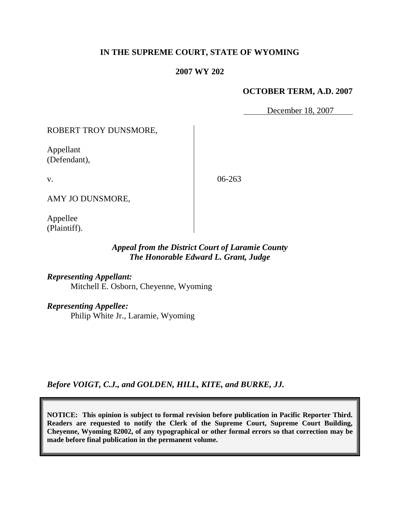## **IN THE SUPREME COURT, STATE OF WYOMING**

#### **2007 WY 202**

#### **OCTOBER TERM, A.D. 2007**

December 18, 2007

ROBERT TROY DUNSMORE,

Appellant (Defendant),

v.

06-263

AMY JO DUNSMORE,

Appellee (Plaintiff).

## *Appeal from the District Court of Laramie County The Honorable Edward L. Grant, Judge*

*Representing Appellant:* Mitchell E. Osborn, Cheyenne, Wyoming

*Representing Appellee:* Philip White Jr., Laramie, Wyoming

*Before VOIGT, C.J., and GOLDEN, HILL, KITE, and BURKE, JJ.*

**NOTICE: This opinion is subject to formal revision before publication in Pacific Reporter Third. Readers are requested to notify the Clerk of the Supreme Court, Supreme Court Building, Cheyenne, Wyoming 82002, of any typographical or other formal errors so that correction may be made before final publication in the permanent volume.**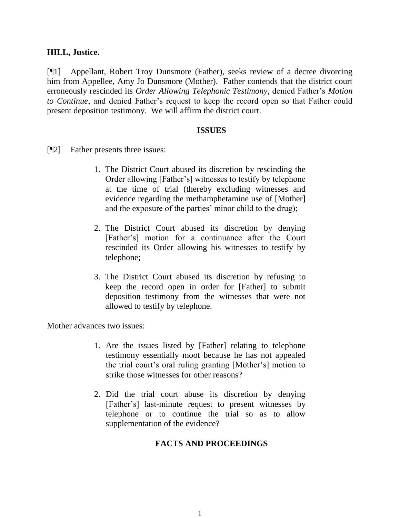### **HILL, Justice.**

[¶1] Appellant, Robert Troy Dunsmore (Father), seeks review of a decree divorcing him from Appellee, Amy Jo Dunsmore (Mother). Father contends that the district court erroneously rescinded its *Order Allowing Telephonic Testimony*, denied Father's *Motion to Continue*, and denied Father's request to keep the record open so that Father could present deposition testimony. We will affirm the district court.

#### **ISSUES**

- [¶2] Father presents three issues:
	- 1. The District Court abused its discretion by rescinding the Order allowing [Father's] witnesses to testify by telephone at the time of trial (thereby excluding witnesses and evidence regarding the methamphetamine use of [Mother] and the exposure of the parties' minor child to the drug);
	- 2. The District Court abused its discretion by denying [Father's] motion for a continuance after the Court rescinded its Order allowing his witnesses to testify by telephone;
	- 3. The District Court abused its discretion by refusing to keep the record open in order for [Father] to submit deposition testimony from the witnesses that were not allowed to testify by telephone.

Mother advances two issues:

- 1. Are the issues listed by [Father] relating to telephone testimony essentially moot because he has not appealed the trial court's oral ruling granting [Mother's] motion to strike those witnesses for other reasons?
- 2. Did the trial court abuse its discretion by denying [Father's] last-minute request to present witnesses by telephone or to continue the trial so as to allow supplementation of the evidence?

# **FACTS AND PROCEEDINGS**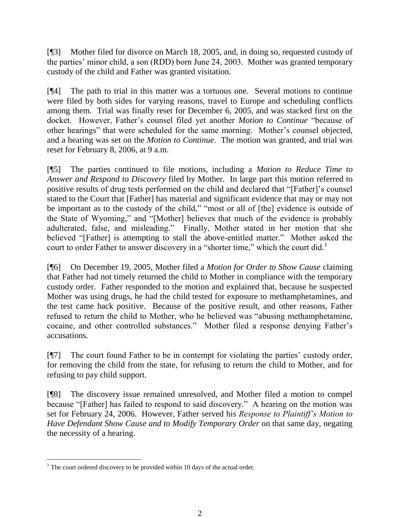[¶3] Mother filed for divorce on March 18, 2005, and, in doing so, requested custody of the parties' minor child, a son (RDD) born June 24, 2003. Mother was granted temporary custody of the child and Father was granted visitation.

[¶4] The path to trial in this matter was a tortuous one. Several motions to continue were filed by both sides for varying reasons, travel to Europe and scheduling conflicts among them. Trial was finally reset for December 6, 2005, and was stacked first on the docket. However, Father's counsel filed yet another *Motion to Continue* "because of other hearings" that were scheduled for the same morning. Mother's counsel objected, and a hearing was set on the *Motion to Continue*. The motion was granted, and trial was reset for February 8, 2006, at 9 a.m.

[¶5] The parties continued to file motions, including a *Motion to Reduce Time to Answer and Respond to Discovery* filed by Mother. In large part this motion referred to positive results of drug tests performed on the child and declared that "[Father]'s counsel stated to the Court that [Father] has material and significant evidence that may or may not be important as to the custody of the child," "most or all of [the] evidence is outside of the State of Wyoming," and "[Mother] believes that much of the evidence is probably adulterated, false, and misleading." Finally, Mother stated in her motion that she believed "[Father] is attempting to stall the above-entitled matter." Mother asked the court to order Father to answer discovery in a "shorter time," which the court did.<sup>1</sup>

[¶6] On December 19, 2005, Mother filed a *Motion for Order to Show Cause* claiming that Father had not timely returned the child to Mother in compliance with the temporary custody order. Father responded to the motion and explained that, because he suspected Mother was using drugs, he had the child tested for exposure to methamphetamines, and the test came back positive. Because of the positive result, and other reasons, Father refused to return the child to Mother, who he believed was "abusing methamphetamine, cocaine, and other controlled substances." Mother filed a response denying Father's accusations.

[¶7] The court found Father to be in contempt for violating the parties' custody order, for removing the child from the state, for refusing to return the child to Mother, and for refusing to pay child support.

[¶8] The discovery issue remained unresolved, and Mother filed a motion to compel because "[Father] has failed to respond to said discovery." A hearing on the motion was set for February 24, 2006. However, Father served his *Response to Plaintiff's Motion to Have Defendant Show Cause and to Modify Temporary Order* on that same day, negating the necessity of a hearing.

  $1$  The court ordered discovery to be provided within 10 days of the actual order.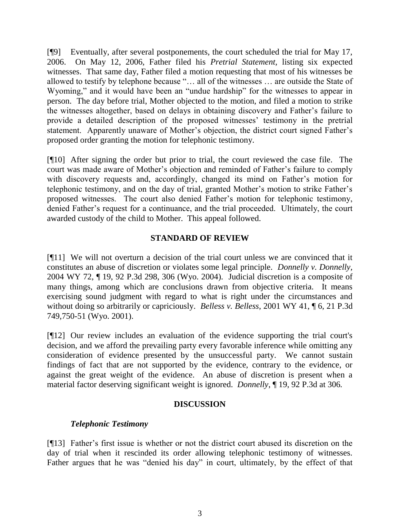[¶9] Eventually, after several postponements, the court scheduled the trial for May 17, 2006. On May 12, 2006, Father filed his *Pretrial Statement,* listing six expected witnesses. That same day, Father filed a motion requesting that most of his witnesses be allowed to testify by telephone because "… all of the witnesses … are outside the State of Wyoming," and it would have been an "undue hardship" for the witnesses to appear in person. The day before trial, Mother objected to the motion, and filed a motion to strike the witnesses altogether, based on delays in obtaining discovery and Father's failure to provide a detailed description of the proposed witnesses' testimony in the pretrial statement. Apparently unaware of Mother's objection, the district court signed Father's proposed order granting the motion for telephonic testimony.

[¶10] After signing the order but prior to trial, the court reviewed the case file. The court was made aware of Mother's objection and reminded of Father's failure to comply with discovery requests and, accordingly, changed its mind on Father's motion for telephonic testimony, and on the day of trial, granted Mother's motion to strike Father's proposed witnesses. The court also denied Father's motion for telephonic testimony, denied Father's request for a continuance, and the trial proceeded. Ultimately, the court awarded custody of the child to Mother. This appeal followed.

## **STANDARD OF REVIEW**

[¶11] We will not overturn a decision of the trial court unless we are convinced that it constitutes an abuse of discretion or violates some legal principle. *Donnelly v. Donnelly,*  2004 WY 72, ¶ 19, 92 P.3d 298, 306 (Wyo. 2004).Judicial discretion is a composite of many things, among which are conclusions drawn from objective criteria. It means exercising sound judgment with regard to what is right under the circumstances and without doing so arbitrarily or capriciously. *Belless v. Belless*, 2001 WY 41, ¶ 6, 21 P.3d 749,750-51 (Wyo. 2001).

[¶12] Our review includes an evaluation of the evidence supporting the trial court's decision, and we afford the prevailing party every favorable inference while omitting any consideration of evidence presented by the unsuccessful party. We cannot sustain findings of fact that are not supported by the evidence, contrary to the evidence, or against the great weight of the evidence. An abuse of discretion is present when a material factor deserving significant weight is ignored. *Donnelly*, ¶ 19, 92 P.3d at 306*.*

### **DISCUSSION**

# *Telephonic Testimony*

[¶13] Father's first issue is whether or not the district court abused its discretion on the day of trial when it rescinded its order allowing telephonic testimony of witnesses. Father argues that he was "denied his day" in court, ultimately, by the effect of that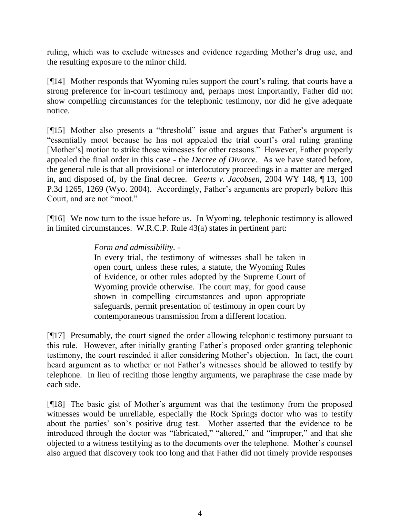ruling, which was to exclude witnesses and evidence regarding Mother's drug use, and the resulting exposure to the minor child.

[¶14] Mother responds that Wyoming rules support the court's ruling, that courts have a strong preference for in-court testimony and, perhaps most importantly, Father did not show compelling circumstances for the telephonic testimony, nor did he give adequate notice.

[¶15] Mother also presents a "threshold" issue and argues that Father's argument is "essentially moot because he has not appealed the trial court's oral ruling granting [Mother's] motion to strike those witnesses for other reasons." However, Father properly appealed the final order in this case - the *Decree of Divorce*. As we have stated before, the general rule is that all provisional or interlocutory proceedings in a matter are merged in, and disposed of, by the final decree. *Geerts v. Jacobsen,* 2004 WY 148, ¶ 13, 100 P.3d 1265, 1269 (Wyo. 2004). Accordingly, Father's arguments are properly before this Court, and are not "moot."

[¶16] We now turn to the issue before us. In Wyoming, telephonic testimony is allowed in limited circumstances. W.R.C.P. Rule 43(a) states in pertinent part:

## *Form and admissibility. -*

In every trial, the testimony of witnesses shall be taken in open court, unless these rules, a statute, the Wyoming Rules of Evidence, or other rules adopted by the Supreme Court of Wyoming provide otherwise. The court may, for good cause shown in compelling circumstances and upon appropriate safeguards, permit presentation of testimony in open court by contemporaneous transmission from a different location.

[¶17] Presumably, the court signed the order allowing telephonic testimony pursuant to this rule. However, after initially granting Father's proposed order granting telephonic testimony, the court rescinded it after considering Mother's objection. In fact, the court heard argument as to whether or not Father's witnesses should be allowed to testify by telephone. In lieu of reciting those lengthy arguments, we paraphrase the case made by each side.

[¶18] The basic gist of Mother's argument was that the testimony from the proposed witnesses would be unreliable, especially the Rock Springs doctor who was to testify about the parties' son's positive drug test. Mother asserted that the evidence to be introduced through the doctor was "fabricated," "altered," and "improper," and that she objected to a witness testifying as to the documents over the telephone. Mother's counsel also argued that discovery took too long and that Father did not timely provide responses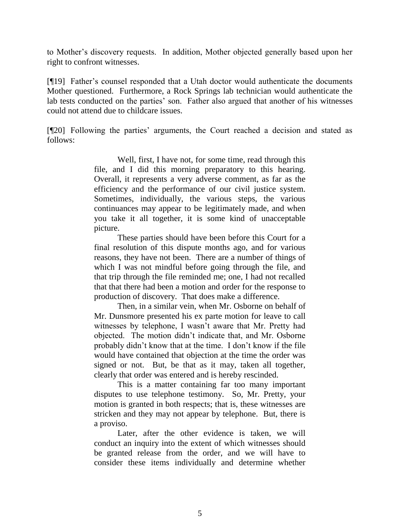to Mother's discovery requests. In addition, Mother objected generally based upon her right to confront witnesses.

[¶19] Father's counsel responded that a Utah doctor would authenticate the documents Mother questioned. Furthermore, a Rock Springs lab technician would authenticate the lab tests conducted on the parties' son. Father also argued that another of his witnesses could not attend due to childcare issues.

[¶20] Following the parties' arguments, the Court reached a decision and stated as follows:

> Well, first, I have not, for some time, read through this file, and I did this morning preparatory to this hearing. Overall, it represents a very adverse comment, as far as the efficiency and the performance of our civil justice system. Sometimes, individually, the various steps, the various continuances may appear to be legitimately made, and when you take it all together, it is some kind of unacceptable picture.

> These parties should have been before this Court for a final resolution of this dispute months ago, and for various reasons, they have not been. There are a number of things of which I was not mindful before going through the file, and that trip through the file reminded me; one, I had not recalled that that there had been a motion and order for the response to production of discovery. That does make a difference.

> Then, in a similar vein, when Mr. Osborne on behalf of Mr. Dunsmore presented his ex parte motion for leave to call witnesses by telephone, I wasn't aware that Mr. Pretty had objected. The motion didn't indicate that, and Mr. Osborne probably didn't know that at the time. I don't know if the file would have contained that objection at the time the order was signed or not. But, be that as it may, taken all together, clearly that order was entered and is hereby rescinded.

> This is a matter containing far too many important disputes to use telephone testimony. So, Mr. Pretty, your motion is granted in both respects; that is, these witnesses are stricken and they may not appear by telephone. But, there is a proviso.

> Later, after the other evidence is taken, we will conduct an inquiry into the extent of which witnesses should be granted release from the order, and we will have to consider these items individually and determine whether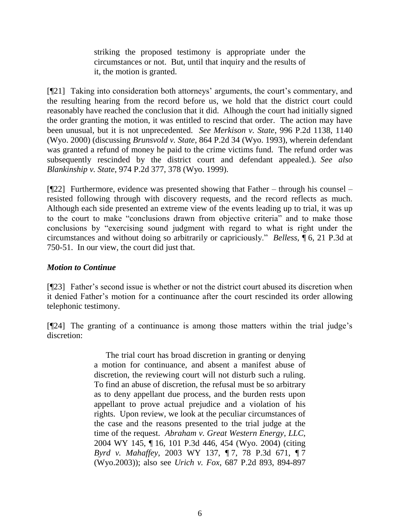striking the proposed testimony is appropriate under the circumstances or not. But, until that inquiry and the results of it, the motion is granted.

[¶21] Taking into consideration both attorneys' arguments, the court's commentary, and the resulting hearing from the record before us, we hold that the district court could reasonably have reached the conclusion that it did. Alhough the court had initially signed the order granting the motion, it was entitled to rescind that order. The action may have been unusual, but it is not unprecedented. *See Merkison v. State*, 996 P.2d 1138, 1140 (Wyo. 2000) (discussing *Brunsvold v. State,* 864 P.2d 34 (Wyo. 1993), wherein defendant was granted a refund of money he paid to the crime victims fund. The refund order was subsequently rescinded by the district court and defendant appealed.). *See also Blankinship v. State*, 974 P.2d 377, 378 (Wyo. 1999).

[¶22] Furthermore, evidence was presented showing that Father – through his counsel – resisted following through with discovery requests, and the record reflects as much. Although each side presented an extreme view of the events leading up to trial, it was up to the court to make "conclusions drawn from objective criteria" and to make those conclusions by "exercising sound judgment with regard to what is right under the circumstances and without doing so arbitrarily or capriciously." *Belless*, ¶ 6, 21 P.3d at 750-51. In our view, the court did just that.

# *Motion to Continue*

[¶23] Father's second issue is whether or not the district court abused its discretion when it denied Father's motion for a continuance after the court rescinded its order allowing telephonic testimony.

[¶24] The granting of a continuance is among those matters within the trial judge's discretion:

> The trial court has broad discretion in granting or denying a motion for continuance, and absent a manifest abuse of discretion, the reviewing court will not disturb such a ruling. To find an abuse of discretion, the refusal must be so arbitrary as to deny appellant due process, and the burden rests upon appellant to prove actual prejudice and a violation of his rights. Upon review, we look at the peculiar circumstances of the case and the reasons presented to the trial judge at the time of the request. *Abraham v. Great Western Energy*, *LLC*, 2004 WY 145, ¶ 16, 101 P.3d 446, 454 (Wyo. 2004) (citing *Byrd v. Mahaffey*, 2003 WY 137, ¶ 7, 78 P.3d 671, ¶ 7 (Wyo.2003)); also see *Urich v. Fox*, 687 P.2d 893, 894-897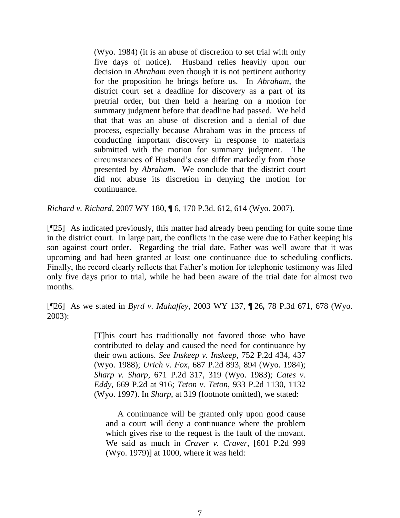(Wyo. 1984) (it is an abuse of discretion to set trial with only five days of notice). Husband relies heavily upon our decision in *Abraham* even though it is not pertinent authority for the proposition he brings before us. In *Abraham*, the district court set a deadline for discovery as a part of its pretrial order, but then held a hearing on a motion for summary judgment before that deadline had passed. We held that that was an abuse of discretion and a denial of due process, especially because Abraham was in the process of conducting important discovery in response to materials submitted with the motion for summary judgment. The circumstances of Husband's case differ markedly from those presented by *Abraham*. We conclude that the district court did not abuse its discretion in denying the motion for continuance.

*Richard v. Richard*, 2007 WY 180, ¶ 6, 170 P.3d. 612, 614 (Wyo. 2007).

[¶25] As indicated previously, this matter had already been pending for quite some time in the district court. In large part, the conflicts in the case were due to Father keeping his son against court order. Regarding the trial date, Father was well aware that it was upcoming and had been granted at least one continuance due to scheduling conflicts. Finally, the record clearly reflects that Father's motion for telephonic testimony was filed only five days prior to trial, while he had been aware of the trial date for almost two months.

[¶26] As we stated in *Byrd v. Mahaffey*, 2003 WY 137, ¶ 26*,* 78 P.3d 671, 678 (Wyo. 2003):

> [T]his court has traditionally not favored those who have contributed to delay and caused the need for continuance by their own actions. *See Inskeep v. Inskeep*, 752 P.2d 434, 437 (Wyo. 1988); *Urich v. Fox*, 687 P.2d 893, 894 (Wyo. 1984); *Sharp v. Sharp*, 671 P.2d 317, 319 (Wyo. 1983); *Cates v. Eddy*, 669 P.2d at 916; *Teton v. Teton*, 933 P.2d 1130, 1132 (Wyo. 1997). In *Sharp*, at 319 (footnote omitted), we stated:

A continuance will be granted only upon good cause and a court will deny a continuance where the problem which gives rise to the request is the fault of the movant. We said as much in *Craver v. Craver*, [601 P.2d 999 (Wyo. 1979)] at 1000, where it was held: